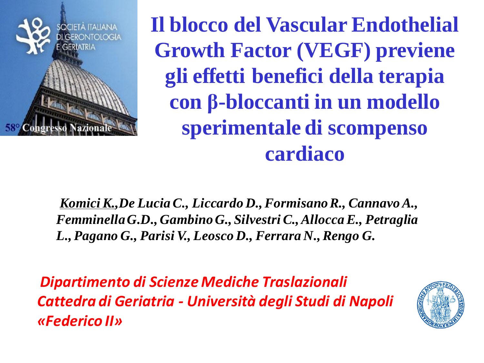

**Il blocco del Vascular Endothelial Growth Factor (VEGF) previene gli effetti benefici della terapia con β-bloccanti in un modello sperimentale di scompenso cardiaco**

*Komici K.,De Lucia C., Liccardo D., Formisano R., Cannavo A., Femminella G.D., Gambino G., Silvestri C., Allocca E., Petraglia L., Pagano G., Parisi V., Leosco D., Ferrara N., Rengo G.*

*Dipartimento di Scienze Mediche Traslazionali Cattedra di Geriatria - Università degli Studi di Napoli «Federico II»* 

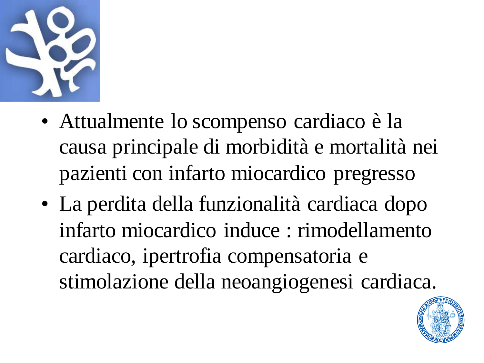

- Attualmente lo scompenso cardiaco è la causa principale di morbidità e mortalità nei pazienti con infarto miocardico pregresso
- La perdita della funzionalità cardiaca dopo infarto miocardico induce : rimodellamento cardiaco, ipertrofia compensatoria e stimolazione della neoangiogenesi cardiaca.

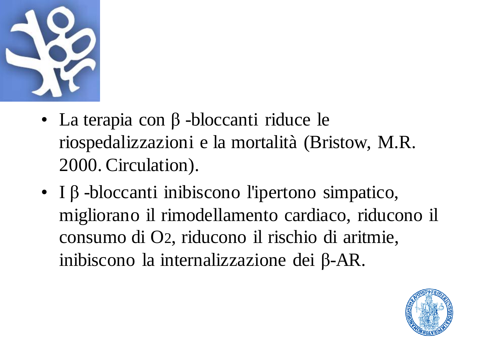

- La terapia con β -bloccanti riduce le riospedalizzazioni e la mortalità (Bristow, M.R. 2000. Circulation).
- I β -bloccanti inibiscono l'ipertono simpatico, migliorano il rimodellamento cardiaco, riducono il consumo di O2, riducono il rischio di aritmie, inibiscono la internalizzazione dei β-AR.

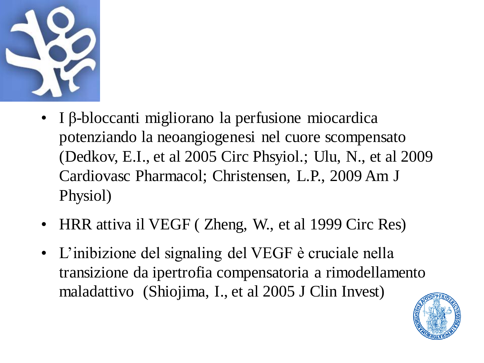

- I β-bloccanti migliorano la perfusione miocardica potenziando la neoangiogenesi nel cuore scompensato (Dedkov, E.I., et al 2005 Circ Phsyiol.; Ulu, N., et al 2009 Cardiovasc Pharmacol; Christensen, L.P., 2009 Am J Physiol)
- HRR attiva il VEGF (Zheng, W., et al 1999 Circ Res)
- L'inibizione del signaling del VEGF è cruciale nella transizione da ipertrofia compensatoria a rimodellamento maladattivo (Shiojima, I., et al 2005 J Clin Invest)

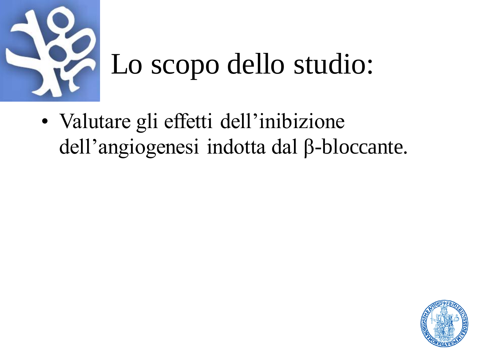

• Valutare gli effetti dell'inibizione dell'angiogenesi indotta dal β-bloccante.

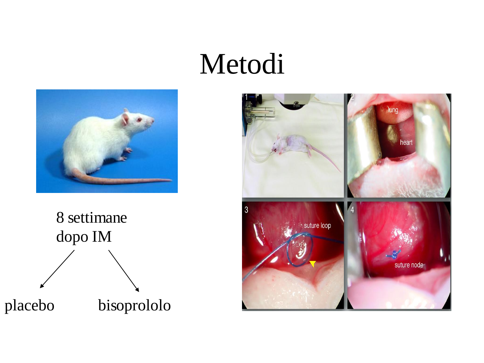### Metodi





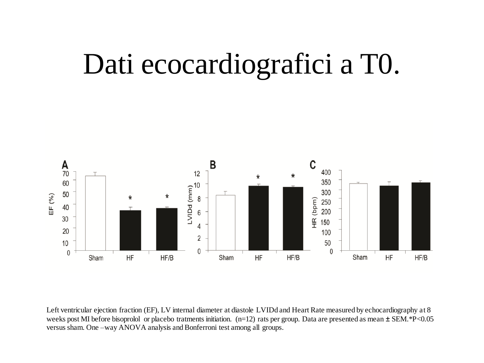## Dati ecocardiografici a T0.



Left ventricular ejection fraction (EF), LV internal diameter at diastole LVIDd and Heart Rate measured by echocardiography at 8 weeks post MI before bisoprolol or placebo tratments initiation. (n=12) rats per group. Data are presented as mean  $\pm$  SEM.\*P<0.05 versus sham. One –way ANOVA analysis and Bonferroni test among all groups.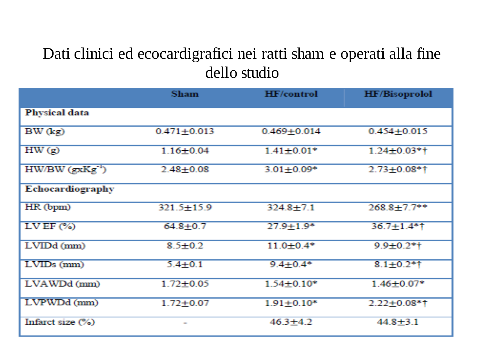#### Dati clinici ed ecocardigrafici nei ratti sham e operati alla fine dello studio

|                         | <b>Sham</b>      | <b>HF/control</b> | <b>HF/Bisoprolol</b> |
|-------------------------|------------------|-------------------|----------------------|
| <b>Physical data</b>    |                  |                   |                      |
| $BW$ $(kg)$             | $0.471 + 0.013$  | $0.469 + 0.014$   | $0.454 + 0.015$      |
| HW(g)                   | $1.16 + 0.04$    | $1.41 + 0.01*$    | $1.24 + 0.03*$       |
| $HW/BW$ ( $gxKg^{-1}$ ) | $2.48 + 0.08$    | $3.01 + 0.09*$    | $2.73 + 0.08$ *†     |
| Echocardiography        |                  |                   |                      |
| HR (bpm)                | $321.5 \pm 15.9$ | $324.8 + 7.1$     | $268.8 + 7.7$ **     |
| $LVEF$ $(\%)$           | $64.8 + 0.7$     | $27.9 + 1.9*$     | $36.7 \pm 1.4*$ †    |
| LVIDd (mm)              | $8.5 \pm 0.2$    | $11.0 + 0.4*$     | $9.9 + 0.2$ *†       |
| $LVIDs$ (mm)            | $5.4 + 0.1$      | $9.4 + 0.4*$      | $8.1 + 0.2*1$        |
| LVAWDd (mm)             | $1.72 + 0.05$    | $1.54 + 0.10*$    | $1.46 + 0.07*$       |
| LVPWDd (mm)             | $1.72 + 0.07$    | $1.91 \pm 0.10*$  | $2.22 + 0.08*$ †     |
| Infarct size $(\%)$     |                  | $46.3 + 4.2$      | $44.8 + 3.1$         |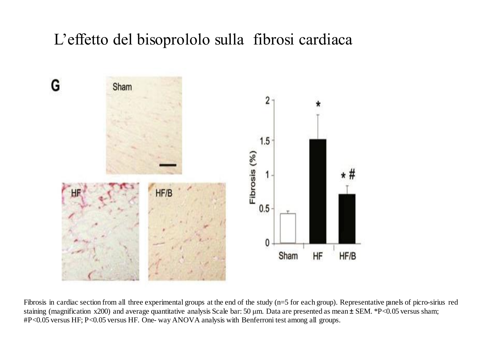#### L'effetto del bisoprololo sulla fibrosi cardiaca



Fibrosis in cardiac section from all three experimental groups at the end of the study (n=5 for each group). Representative panels of picro-sirius red staining (magnification x200) and average quantitative analysis Scale bar: 50 μm. Data are presented as mean ± SEM. \*P<0.05 versus sham; #P<0.05 versus HF; P<0.05 versus HF. One- way ANOVA analysis with Benferroni test among all groups.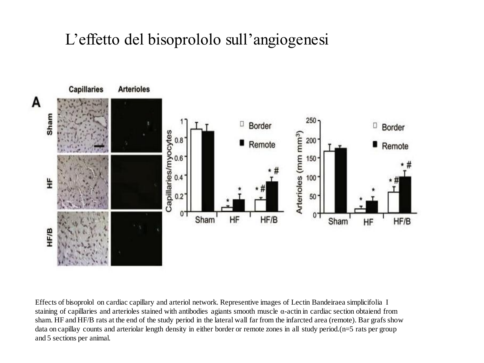#### L'effetto del bisoprololo sull'angiogenesi



Effects of bisoprolol on cardiac capillary and arteriol network. Representive images of Lectin Bandeiraea simplicifolia I staining of capillaries and arterioles stained with antibodies agiants smooth muscle α-actin in cardiac section obtaiend from sham. HF and HF/B rats at the end of the study period in the lateral wall far from the infarcted area (remote). Bar grafs show data on capillay counts and arteriolar length density in either border or remote zones in all study period.(n=5 rats per group and 5 sections per animal.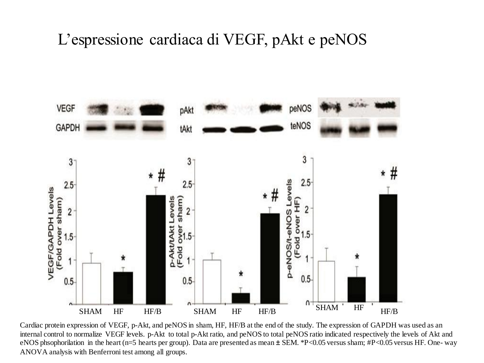#### L'espressione cardiaca di VEGF, pAkt e peNOS



Cardiac protein expression of VEGF, p-Akt, and peNOS in sham, HF, HF/B at the end of the study. The expression of GAPDH was used as an internal control to normalize VEGF levels. p-Akt to total p-Akt ratio, and peNOS to total peNOS ratio indicated respectively the levels of Akt and eNOS phsophorilation in the heart (n=5 hearts per group). Data are presented as mean ± SEM. \*P<0.05 versus sham; #P<0.05 versus HF. One- way ANOVA analysis with Benferroni test among all groups.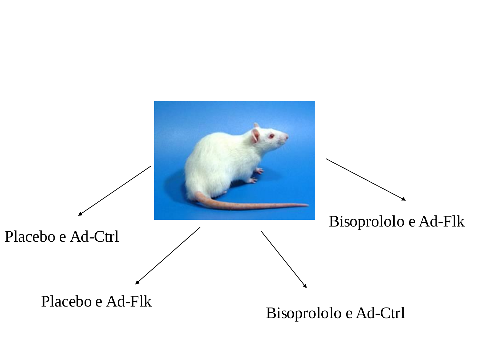

#### Bisoprololo e Ad-Ctrl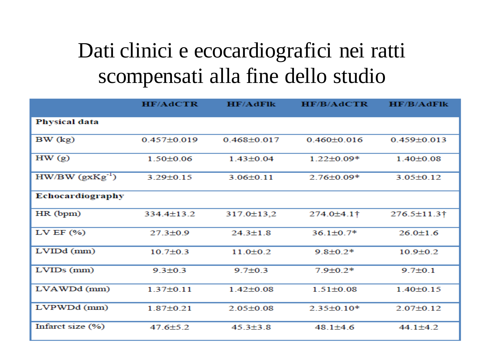### Dati clinici e ecocardiografici nei ratti scompensati alla fine dello studio

|                      | <b>HF/AdCTR</b>   | <b>HF/AdFlk</b> | <b>HF/B/AdCTR</b> | HF/B/AdF          |
|----------------------|-------------------|-----------------|-------------------|-------------------|
| <b>Physical data</b> |                   |                 |                   |                   |
| BW (kg)              | $0.457 \pm 0.019$ | $0.468 + 0.017$ | $0.460 + 0.016$   | $0.459 \pm 0.013$ |
| HW(g)                | $1.50 \pm 0.06$   | $1.43 \pm 0.04$ | $1.22 \pm 0.09*$  | $1.40 \pm 0.08$   |
| $HW/BW (gxKg^{-1})$  | $3.29 \pm 0.15$   | $3.06 \pm 0.11$ | $2.76 \pm 0.09*$  | $3.05 \pm 0.12$   |
| Echocardiography     |                   |                 |                   |                   |
| HR (bpm)             | $334.4 \pm 13.2$  | 317.0±13,2      | 274.0±4.1†        | 276.5±11.3†       |
| LV EF $(% )$         | $27.3 \pm 0.9$    | $24.3 \pm 1.8$  | $36.1 \pm 0.7*$   | $26.0 \pm 1.6$    |
| $LVIDd$ (mm)         | $10.7 \pm 0.3$    | $11.0 \pm 0.2$  | $9.8 \pm 0.2*$    | $10.9 \pm 0.2$    |
| $LVIDs$ ( $mm$ )     | $9.3 \pm 0.3$     | $9.7 \pm 0.3$   | $7.9 \pm 0.2*$    | $9.7 \pm 0.1$     |
| LVAWDd (mm)          | $1.37 \pm 0.11$   | $1.42 \pm 0.08$ | $1.51 \pm 0.08$   | $1.40 \pm 0.15$   |
| LVPWDd (mm)          | $1.87 \pm 0.21$   | $2.05 \pm 0.08$ | $2.35 \pm 0.10*$  | $2.07 \pm 0.12$   |
| Infarct size (%)     | $47.6 \pm 5.2$    | $45.3 \pm 3.8$  | $48.1 + 4.6$      | $44.1 \pm 4.2$    |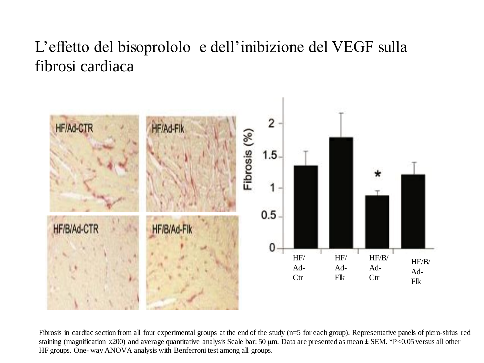#### L'effetto del bisoprololo e dell'inibizione del VEGF sulla fibrosi cardiaca



Fibrosis in cardiac section from all four experimental groups at the end of the study (n=5 for each group). Representative panels of picro-sirius red staining (magnification x200) and average quantitative analysis Scale bar: 50 μm. Data are presented as mean ± SEM. \*P<0.05 versus all other HF groups. One- way ANOVA analysis with Benferroni test among all groups.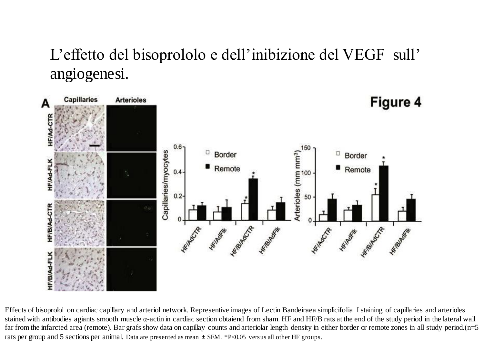#### L'effetto del bisoprololo e dell'inibizione del VEGF sull' angiogenesi.



Effects of bisoprolol on cardiac capillary and arteriol network. Representive images of Lectin Bandeiraea simplicifolia I staining of capillaries and arterioles stained with antibodies agiants smooth muscle α-actin in cardiac section obtaiend from sham. HF and HF/B rats at the end of the study period in the lateral wall far from the infarcted area (remote). Bar grafs show data on capillay counts and arteriolar length density in either border or remote zones in all study period.(n=5 rats per group and 5 sections per animal. Data are presented as mean ± SEM. \*P<0.05 versus all other HF groups.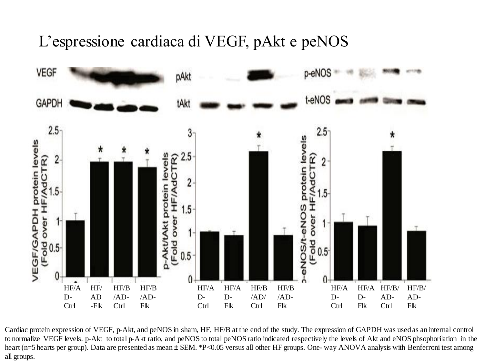#### L'espressione cardiaca di VEGF, pAkt e peNOS



Cardiac protein expression of VEGF, p-Akt, and peNOS in sham, HF, HF/B at the end of the study. The expression of GAPDH was usedas an internal control to normalize VEGF levels. p-Akt to total p-Akt ratio, and peNOS to total peNOS ratio indicated respectively the levels of Akt and eNOS phsophorilation in the heart (n=5 hearts per group). Data are presented as mean  $\pm$  SEM. \*P<0.05 versus all other HF groups. One-way ANOVA analysis with Benferroni test among all groups.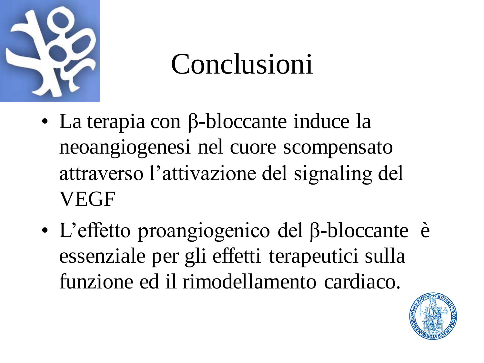

# Conclusioni

- La terapia con β-bloccante induce la neoangiogenesi nel cuore scompensato attraverso l'attivazione del signaling del VEGF
- L'effetto proangiogenico del β-bloccante è essenziale per gli effetti terapeutici sulla funzione ed il rimodellamento cardiaco.